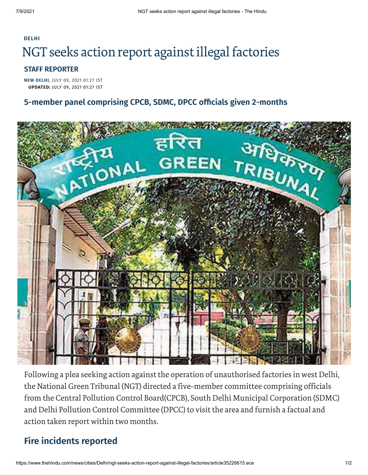## **[DELHI](https://www.thehindu.com/news/cities/Delhi/)** NGT seeks action report against illegal factories

#### **STAFF REPORTER**

**NEW DELHI,** JULY 09, 2021 01:27 IST **UPDATED:** JULY 09, 2021 01:27 IST

#### **5-member panel comprising CPCB, SDMC, DPCC officials given 2-months**



Following a plea seeking action against the operation of unauthorised factories in west Delhi, the National Green Tribunal (NGT) directed a five-member committee comprising officials from the Central Pollution Control Board(CPCB), South Delhi Municipal Corporation (SDMC) and Delhi Pollution Control Committee (DPCC) to visit the area and furnish a factual and action taken report within two months.

### **Fire incidents reported**